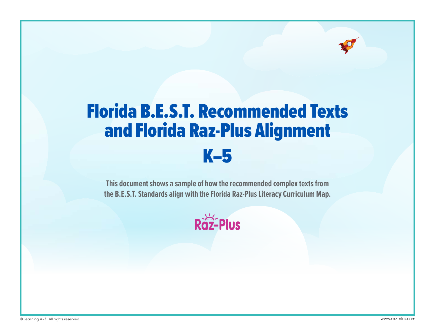# Florida B.E.S.T. Recommended Texts and Florida Raz-Plus Alignment K–5

**This document shows a sample of how the recommended complex texts from the B.E.S.T. Standards align with the Florida Raz-Plus Literacy Curriculum Map.**

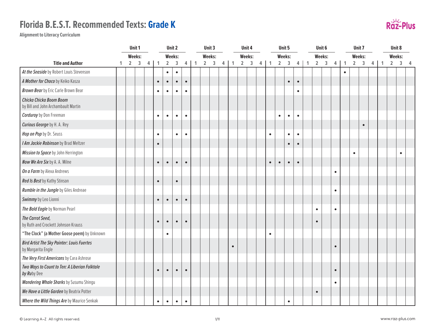

|                                                                         |   |                | Unit 1         |                         |              |                | Unit 2        |                |              |                | Unit 3         |                |              |                | Unit 4         |   |           |                | Unit 5         |                |              |                | Unit 6         |                |              |                | Unit 7     |   |              | Unit 8         |              |                |
|-------------------------------------------------------------------------|---|----------------|----------------|-------------------------|--------------|----------------|---------------|----------------|--------------|----------------|----------------|----------------|--------------|----------------|----------------|---|-----------|----------------|----------------|----------------|--------------|----------------|----------------|----------------|--------------|----------------|------------|---|--------------|----------------|--------------|----------------|
|                                                                         |   |                | <b>Weeks:</b>  |                         |              |                | <b>Weeks:</b> |                |              |                | Weeks:         |                |              |                | Weeks:         |   |           |                | <b>Weeks:</b>  |                |              |                | <b>Weeks:</b>  |                |              |                | Weeks:     |   |              | Weeks:         |              |                |
| <b>Title and Author</b>                                                 | 1 | $\overline{2}$ | $\overline{3}$ | $\overline{\mathbf{4}}$ | $\mathbf{1}$ | $\overline{2}$ | $\mathbf{3}$  | $\overline{4}$ | $\mathbf{1}$ | $\overline{2}$ | $\overline{3}$ | $\overline{4}$ | $\mathbf{1}$ | $\overline{2}$ | $\overline{3}$ | 4 | 1         | $\overline{2}$ | $\overline{3}$ | $\overline{4}$ | $\mathbf{1}$ | $\overline{2}$ | $\overline{3}$ | $\overline{4}$ | $\mathbf{1}$ | $\overline{2}$ | $\sqrt{3}$ | 4 | $\mathbf{1}$ | $\overline{2}$ | $\mathbf{3}$ | $\overline{4}$ |
| At the Seaside by Robert Louis Stevenson                                |   |                |                |                         |              | $\bullet$      | $\bullet$     |                |              |                |                |                |              |                |                |   |           |                |                |                |              |                |                |                | $\bullet$    |                |            |   |              |                |              |                |
| A Mother for Choco by Keiko Kasza                                       |   |                |                |                         | $\bullet$    | $\bullet$      | $\bullet$     | $\bullet$      |              |                |                |                |              |                |                |   |           |                | $\bullet$      | $\bullet$      |              |                |                |                |              |                |            |   |              |                |              |                |
| <b>Brown Bear</b> by Eric Carle Brown Bear                              |   |                |                |                         | $\bullet$    | $\bullet$      | $\bullet$     | $\bullet$      |              |                |                |                |              |                |                |   |           |                |                | $\bullet$      |              |                |                |                |              |                |            |   |              |                |              |                |
| Chicka Chicka Boom Boom<br>by Bill and John Archambault Martin          |   |                |                |                         |              |                |               |                |              |                |                |                |              |                |                |   |           |                |                |                |              |                |                |                |              |                |            |   |              |                |              |                |
| <b>Corduroy</b> by Don Freeman                                          |   |                |                |                         | $\bullet$    | $\bullet$      | $\bullet$     | $\bullet$      |              |                |                |                |              |                |                |   |           | $\bullet$      | $\bullet$      | $\bullet$      |              |                |                |                |              |                |            |   |              |                |              |                |
| Curious George by H. A. Rey                                             |   |                |                |                         |              |                |               |                |              |                |                |                |              |                |                |   |           |                |                |                |              |                |                |                |              |                | $\bullet$  |   |              |                |              |                |
| Hop on Pop by Dr. Seuss                                                 |   |                |                |                         | $\bullet$    |                | $\bullet$     | $\bullet$      |              |                |                |                |              |                |                |   | $\bullet$ |                | $\bullet$      | $\bullet$      |              |                |                |                |              |                |            |   |              |                |              |                |
| I Am Jackie Robinson by Brad Meltzer                                    |   |                |                |                         | $\bullet$    |                |               |                |              |                |                |                |              |                |                |   |           |                | $\bullet$      | $\bullet$      |              |                |                |                |              |                |            |   |              |                |              |                |
| Mission to Space by John Herrington                                     |   |                |                |                         |              |                |               |                |              |                |                |                |              |                |                |   |           |                |                |                |              |                |                |                |              | $\bullet$      |            |   |              |                | $\bullet$    |                |
| Now We Are Six by A. A. Milne                                           |   |                |                |                         | $\bullet$    | $\bullet$      | $\bullet$     | $\bullet$      |              |                |                |                |              |                |                |   | $\bullet$ | $\bullet$      | $\bullet$      | $\bullet$      |              |                |                |                |              |                |            |   |              |                |              |                |
| On a Farm by Alexa Andrews                                              |   |                |                |                         |              |                |               |                |              |                |                |                |              |                |                |   |           |                |                |                |              |                |                | $\bullet$      |              |                |            |   |              |                |              |                |
| Red Is Best by Kathy Stinson                                            |   |                |                |                         | $\bullet$    |                | $\bullet$     |                |              |                |                |                |              |                |                |   |           |                |                |                |              |                |                |                |              |                |            |   |              |                |              |                |
| Rumble in the Jungle by Giles Andreae                                   |   |                |                |                         |              |                |               |                |              |                |                |                |              |                |                |   |           |                |                |                |              |                |                | $\bullet$      |              |                |            |   |              |                |              |                |
| Swimmy by Leo Lionni                                                    |   |                |                |                         | $\bullet$    | $\bullet$      | $\bullet$     | $\bullet$      |              |                |                |                |              |                |                |   |           |                |                |                |              |                |                |                |              |                |            |   |              |                |              |                |
| The Bald Eagle by Norman Pearl                                          |   |                |                |                         |              |                |               |                |              |                |                |                |              |                |                |   |           |                |                |                |              | $\bullet$      |                | $\bullet$      |              |                |            |   |              |                |              |                |
| The Carrot Seed,<br>by Ruth and Crockett Johnson Krauss                 |   |                |                |                         | $\bullet$    | $\bullet$      | $\bullet$     | $\bullet$      |              |                |                |                |              |                |                |   |           |                |                |                |              | $\bullet$      |                |                |              |                |            |   |              |                |              |                |
| "The Clock" (a Mother Goose poem) by Unknown                            |   |                |                |                         |              | $\bullet$      |               |                |              |                |                |                |              |                |                |   | $\bullet$ |                |                |                |              |                |                |                |              |                |            |   |              |                |              |                |
| <b>Bird Artist The Sky Painter: Louis Fuertes</b><br>by Margarita Engle |   |                |                |                         |              |                |               |                |              |                |                |                | $\bullet$    |                |                |   |           |                |                |                |              |                |                | $\bullet$      |              |                |            |   |              |                |              |                |
| The Very First Americans by Cara Ashrose                                |   |                |                |                         |              |                |               |                |              |                |                |                |              |                |                |   |           |                |                |                |              |                |                |                |              |                |            |   |              |                |              |                |
| Two Ways to Count to Ten: A Liberian Folktale<br>by Ruby Dee            |   |                |                |                         | $\bullet$    | $\bullet$      | $\bullet$     | $\bullet$      |              |                |                |                |              |                |                |   |           |                |                |                |              |                |                | $\bullet$      |              |                |            |   |              |                |              |                |
| <b>Wandering Whale Sharks</b> by Susumu Shingu                          |   |                |                |                         |              |                |               |                |              |                |                |                |              |                |                |   |           |                |                |                |              |                |                | $\bullet$      |              |                |            |   |              |                |              |                |
| We Have a Little Garden by Beatrix Potter                               |   |                |                |                         |              |                |               |                |              |                |                |                |              |                |                |   |           |                |                |                |              | $\bullet$      |                |                |              |                |            |   |              |                |              |                |
| Where the Wild Things Are by Maurice Senkak                             |   |                |                |                         | $\bullet$    | $\bullet$      | $\bullet$     | $\bullet$      |              |                |                |                |              |                |                |   |           |                | $\bullet$      |                |              |                |                |                |              |                |            |   |              |                |              |                |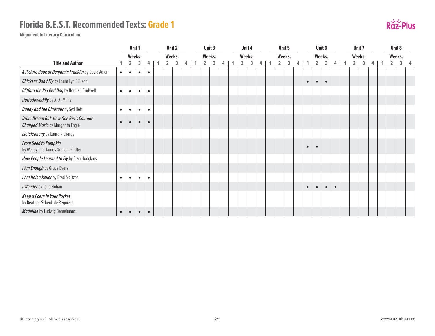

|                                                                                    |           |                | Unit 1    |           |                | Unit 2 |   |                | Unit 3 |   |                | Unit 4 |  |                | Unit 5 |   |           | Unit 6         |           |           |                | Unit 7 |   |                | Unit 8        |  |
|------------------------------------------------------------------------------------|-----------|----------------|-----------|-----------|----------------|--------|---|----------------|--------|---|----------------|--------|--|----------------|--------|---|-----------|----------------|-----------|-----------|----------------|--------|---|----------------|---------------|--|
|                                                                                    |           |                | Weeks:    |           |                | Weeks: |   |                | Weeks: |   |                | Weeks: |  | Weeks:         |        |   |           | Weeks:         |           |           |                | Weeks: |   |                | <b>Weeks:</b> |  |
| <b>Title and Author</b>                                                            |           | $\overline{2}$ | 3         | 4         | $\overline{2}$ | 3      | 4 | $\overline{2}$ | 3      | 4 | $\overline{2}$ | 3      |  | $\overline{2}$ | 3      | 4 |           | $\overline{2}$ | 3         | 4         | $\overline{2}$ | 3      | 4 | $\overline{2}$ | 3             |  |
| A Picture Book of Benjamin Franklin by David Adler                                 | $\bullet$ | $\bullet$      | $\bullet$ | $\bullet$ |                |        |   |                |        |   |                |        |  |                |        |   |           |                |           |           |                |        |   |                |               |  |
| Chickens Don't Fly by Laura Lyn DiSiena                                            |           |                |           |           |                |        |   |                |        |   |                |        |  |                |        |   | $\bullet$ | $\bullet$      | $\bullet$ |           |                |        |   |                |               |  |
| <b>Clifford the Big Red Dog</b> by Norman Bridwell                                 | $\bullet$ | $\bullet$      | $\bullet$ | $\bullet$ |                |        |   |                |        |   |                |        |  |                |        |   |           |                |           |           |                |        |   |                |               |  |
| Daffodowndilly by A. A. Milne                                                      |           |                |           |           |                |        |   |                |        |   |                |        |  |                |        |   |           |                |           |           |                |        |   |                |               |  |
| Danny and the Dinosaur by Syd Hoff                                                 | $\bullet$ | ٠              | $\bullet$ | $\bullet$ |                |        |   |                |        |   |                |        |  |                |        |   |           |                |           |           |                |        |   |                |               |  |
| Drum Dream Girl: How One Girl's Courage<br><b>Changed Music</b> by Margarita Engle | $\bullet$ | $\bullet$      | $\bullet$ | $\bullet$ |                |        |   |                |        |   |                |        |  |                |        |   |           |                |           |           |                |        |   |                |               |  |
| Eletelephony by Laura Richards                                                     |           |                |           |           |                |        |   |                |        |   |                |        |  |                |        |   |           |                |           |           |                |        |   |                |               |  |
| <b>From Seed to Pumpkin</b><br>by Wendy and James Graham Pfeffer                   |           |                |           |           |                |        |   |                |        |   |                |        |  |                |        |   | $\bullet$ | $\bullet$      |           |           |                |        |   |                |               |  |
| How People Learned to Fly by Fran Hodgkins                                         |           |                |           |           |                |        |   |                |        |   |                |        |  |                |        |   |           |                |           |           |                |        |   |                |               |  |
| I Am Enough by Grace Byers                                                         |           |                |           |           |                |        |   |                |        |   |                |        |  |                |        |   |           |                |           |           |                |        |   |                |               |  |
| I Am Helen Keller by Brad Meltzer                                                  | $\bullet$ | $\bullet$      | $\bullet$ | $\bullet$ |                |        |   |                |        |   |                |        |  |                |        |   |           |                |           |           |                |        |   |                |               |  |
| I Wonder by Tana Hoban                                                             |           |                |           |           |                |        |   |                |        |   |                |        |  |                |        |   | $\bullet$ | $\bullet$      | $\bullet$ | $\bullet$ |                |        |   |                |               |  |
| Keep a Poem in Your Pocket<br>by Beatrice Schenk de Regniers                       |           |                |           |           |                |        |   |                |        |   |                |        |  |                |        |   |           |                |           |           |                |        |   |                |               |  |
| Madeline by Ludwig Bemelmans                                                       | $\bullet$ | $\bullet$      | $\bullet$ | $\bullet$ |                |        |   |                |        |   |                |        |  |                |        |   |           |                |           |           |                |        |   |                |               |  |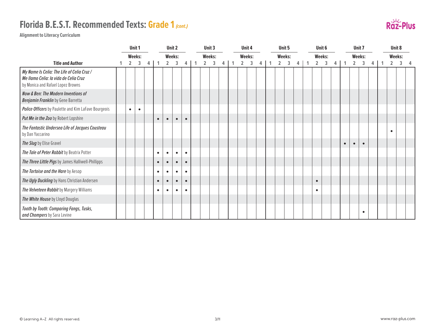# **Florida B.E.S.T. Recommended Texts: Grade 1** *(cont.)*



|                                                                                                                          | Unit 1         |           |   |           |           | Unit 2    |           | Unit 3         |        |   | Unit 4         |        |  | Unit 5         |        |   | Unit 6         |        |   |           |                | Unit 7    |   | Unit 8         |   |  |
|--------------------------------------------------------------------------------------------------------------------------|----------------|-----------|---|-----------|-----------|-----------|-----------|----------------|--------|---|----------------|--------|--|----------------|--------|---|----------------|--------|---|-----------|----------------|-----------|---|----------------|---|--|
|                                                                                                                          |                | Weeks:    |   |           |           | Weeks:    |           |                | Weeks: |   |                | Weeks: |  |                | Weeks: |   |                | Weeks: |   |           |                | Weeks:    |   | Weeks:         |   |  |
| <b>Title and Author</b>                                                                                                  | $\overline{2}$ | 3         | 4 |           | 2         | 3         | 4         | $\overline{2}$ | 3      | 4 | $\overline{2}$ | 3      |  | $\overline{2}$ | 3      | 4 | $\overline{2}$ | 3      | 4 |           | $\overline{2}$ | 3         | 4 | $\overline{2}$ | 3 |  |
| My Name Is Celia: The Life of Celia Cruz /<br>Me llamo Celia: la vida de Celia Cruz<br>by Monica and Rafael Lopez Browns |                |           |   |           |           |           |           |                |        |   |                |        |  |                |        |   |                |        |   |           |                |           |   |                |   |  |
| Now & Ben: The Modern Inventions of<br>Benjamin Franklin by Gene Barretta                                                |                |           |   |           |           |           |           |                |        |   |                |        |  |                |        |   |                |        |   |           |                |           |   |                |   |  |
| Police Officers by Paulette and Kim LaFave Bourgeois                                                                     | $\bullet$      | $\bullet$ |   |           |           |           |           |                |        |   |                |        |  |                |        |   |                |        |   |           |                |           |   |                |   |  |
| Put Me in the Zoo by Robert Lopshire                                                                                     |                |           |   |           | $\bullet$ | $\bullet$ | $\bullet$ |                |        |   |                |        |  |                |        |   |                |        |   |           |                |           |   |                |   |  |
| The Fantastic Undersea Life of Jacques Cousteau<br>by Dan Yaccarino                                                      |                |           |   |           |           |           |           |                |        |   |                |        |  |                |        |   |                |        |   |           |                |           |   | $\bullet$      |   |  |
| The Slug by Elise Gravel                                                                                                 |                |           |   |           |           |           |           |                |        |   |                |        |  |                |        |   |                |        |   | $\bullet$ | $\bullet$      | $\bullet$ |   |                |   |  |
| The Tale of Peter Rabbit by Beatrix Potter                                                                               |                |           |   | $\bullet$ | $\bullet$ | $\bullet$ | $\bullet$ |                |        |   |                |        |  |                |        |   |                |        |   |           |                |           |   |                |   |  |
| The Three Little Pigs by James Halliwell-Phillipps                                                                       |                |           |   | $\bullet$ | $\bullet$ | $\bullet$ | $\bullet$ |                |        |   |                |        |  |                |        |   |                |        |   |           |                |           |   |                |   |  |
| The Tortoise and the Hare by Aesop                                                                                       |                |           |   | ٠         | $\bullet$ | $\bullet$ | $\bullet$ |                |        |   |                |        |  |                |        |   |                |        |   |           |                |           |   |                |   |  |
| The Ugly Duckling by Hans Christian Andersen                                                                             |                |           |   | $\bullet$ | $\bullet$ | $\bullet$ | $\bullet$ |                |        |   |                |        |  |                |        |   | $\bullet$      |        |   |           |                |           |   |                |   |  |
| The Velveteen Rabbit by Margery Williams                                                                                 |                |           |   | $\bullet$ | $\bullet$ | $\bullet$ | $\bullet$ |                |        |   |                |        |  |                |        |   | $\bullet$      |        |   |           |                |           |   |                |   |  |
| The White House by Lloyd Douglas                                                                                         |                |           |   |           |           |           |           |                |        |   |                |        |  |                |        |   |                |        |   |           |                |           |   |                |   |  |
| Tooth by Tooth: Comparing Fangs, Tusks,<br>and Chompers by Sara Levine                                                   |                |           |   |           |           |           |           |                |        |   |                |        |  |                |        |   |                |        |   |           |                | $\bullet$ |   |                |   |  |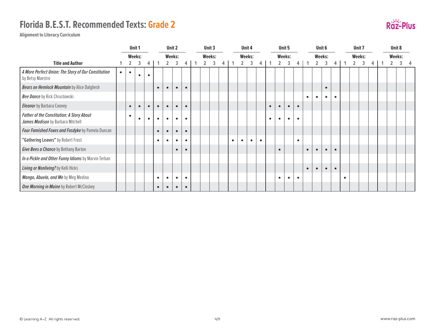

|                                                                                |           |           | Unit 1    |           |           |           | Unit 2        |           |  | Unit 3 |   |           |           | Unit 4    |           |           |           | Unit 5    |           |           |           | Unit 6    |           |   | Unit 7 |   |  | Unit 8 |  |
|--------------------------------------------------------------------------------|-----------|-----------|-----------|-----------|-----------|-----------|---------------|-----------|--|--------|---|-----------|-----------|-----------|-----------|-----------|-----------|-----------|-----------|-----------|-----------|-----------|-----------|---|--------|---|--|--------|--|
|                                                                                |           |           | Weeks:    |           |           |           | <b>Weeks:</b> |           |  | Weeks: |   |           |           | Weeks:    |           |           |           | Weeks:    |           |           |           | Weeks:    |           |   | Weeks: |   |  | Weeks: |  |
| <b>Title and Author</b>                                                        |           |           |           | 4         |           |           |               | 4         |  | 3      | 4 |           |           | 3         | 4         |           |           | 3         | 4         |           |           | 3         |           |   | 3      | 4 |  |        |  |
| A More Perfect Union: The Story of Our Constitution<br>by Betsy Maestro        | $\bullet$ | $\bullet$ | $\bullet$ | $\bullet$ |           |           |               |           |  |        |   |           |           |           |           |           |           |           |           |           |           |           |           |   |        |   |  |        |  |
| <b>Bears on Hemlock Mountain</b> by Alice Dalgliesh                            |           |           |           |           | $\bullet$ | $\bullet$ | $\bullet$     | $\bullet$ |  |        |   |           |           |           |           |           |           |           |           |           |           | $\bullet$ |           |   |        |   |  |        |  |
| Bee Dance by Rick Chrustowski                                                  |           |           |           |           |           |           |               |           |  |        |   |           |           |           |           |           |           |           |           | $\bullet$ | $\bullet$ | $\bullet$ | $\bullet$ |   |        |   |  |        |  |
| <b>Eleanor</b> by Barbara Cooney                                               |           | $\bullet$ | $\bullet$ | $\bullet$ | $\bullet$ | $\bullet$ | $\bullet$     | $\bullet$ |  |        |   |           |           |           |           | $\bullet$ | $\bullet$ | $\bullet$ | $\bullet$ |           |           |           |           |   |        |   |  |        |  |
| Father of the Constitution: A Story About<br>James Madison by Barbara Mitchell |           | $\bullet$ | $\bullet$ | $\bullet$ | $\bullet$ | $\bullet$ | $\bullet$     | $\bullet$ |  |        |   |           |           |           |           | $\bullet$ | $\bullet$ | $\bullet$ | $\bullet$ |           |           |           |           |   |        |   |  |        |  |
| Four Famished Foxes and Fosdyke by Pamela Duncan                               |           |           |           |           | $\bullet$ | $\bullet$ | $\bullet$     | $\bullet$ |  |        |   |           |           |           |           |           |           |           |           |           |           |           |           |   |        |   |  |        |  |
| "Gathering Leaves" by Robert Frost                                             |           |           |           |           | $\bullet$ | $\bullet$ | ٠             | $\bullet$ |  |        |   | $\bullet$ | $\bullet$ | $\bullet$ | $\bullet$ |           |           |           | $\bullet$ |           |           |           |           |   |        |   |  |        |  |
| Give Bees a Chance by Bethany Barton                                           |           |           |           |           |           |           | $\bullet$     |           |  |        |   |           |           |           |           |           | $\bullet$ |           |           | $\bullet$ | $\bullet$ | $\bullet$ | $\bullet$ |   |        |   |  |        |  |
| In a Pickle and Other Funny Idioms by Marvin Terban                            |           |           |           |           |           |           |               |           |  |        |   |           |           |           |           |           |           |           |           |           |           |           |           |   |        |   |  |        |  |
| Living or Nonliving? by Kelli Hicks                                            |           |           |           |           |           |           |               |           |  |        |   |           |           |           |           |           |           |           |           | $\bullet$ | $\bullet$ | $\bullet$ | $\bullet$ |   |        |   |  |        |  |
| Mango, Abuela, and Me by Meg Medina                                            |           |           |           |           | $\bullet$ | $\bullet$ | $\bullet$     | $\bullet$ |  |        |   |           |           |           |           |           | $\bullet$ | $\bullet$ | $\bullet$ |           |           |           |           | ٠ |        |   |  |        |  |
| One Morning in Maine by Robert McCloskey                                       |           |           |           |           | $\bullet$ | $\bullet$ | $\bullet$     | $\bullet$ |  |        |   |           |           |           |           |           |           |           |           |           |           |           |           |   |        |   |  |        |  |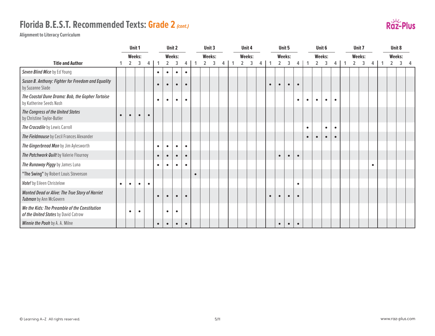# **Florida B.E.S.T. Recommended Texts: Grade 2** *(cont.)*



|                                                                                       |           |                | Unit 1        |           |           |                | Unit 2    |           |                | Unit 3 |   |                | Unit 4 |   |           | Unit 5         |           |           |           |           | Unit 6        |           |                | Unit <sub>7</sub> |           |                | Unit 8 |  |
|---------------------------------------------------------------------------------------|-----------|----------------|---------------|-----------|-----------|----------------|-----------|-----------|----------------|--------|---|----------------|--------|---|-----------|----------------|-----------|-----------|-----------|-----------|---------------|-----------|----------------|-------------------|-----------|----------------|--------|--|
|                                                                                       |           |                | <b>Weeks:</b> |           |           |                | Weeks:    |           |                | Weeks: |   |                | Weeks: |   |           |                | Weeks:    |           |           |           | <b>Weeks:</b> |           |                | <b>Weeks:</b>     |           |                | Weeks: |  |
| <b>Title and Author</b>                                                               |           | $\overline{2}$ | 3             | 4         |           | $\overline{2}$ | 3         | 4         | $\overline{2}$ | 3      | 4 | $\overline{2}$ | 3      | 4 |           | $\overline{2}$ | 3         | 4         |           | 2         | 3             | 4         | $\overline{2}$ | 3                 | 4         | $\overline{2}$ | 3      |  |
| Seven Blind Mice by Ed Young                                                          |           |                |               |           | $\bullet$ | $\bullet$      | $\bullet$ | $\bullet$ |                |        |   |                |        |   |           |                |           |           |           |           |               |           |                |                   |           |                |        |  |
| Susan B. Anthony: Fighter for Freedom and Equality<br>by Suzanne Slade                |           |                |               |           | $\bullet$ | $\bullet$      | $\bullet$ | $\bullet$ |                |        |   |                |        |   | $\bullet$ |                |           | $\bullet$ |           |           |               |           |                |                   |           |                |        |  |
| The Coastal Dune Drama: Bob, the Gopher Tortoise<br>by Katherine Seeds Nash           |           |                |               |           | $\bullet$ | $\bullet$      | $\bullet$ | $\bullet$ |                |        |   |                |        |   |           |                |           | $\bullet$ | $\bullet$ | $\bullet$ | $\bullet$     | $\bullet$ |                |                   |           |                |        |  |
| The Congress of the United States<br>by Christine Taylor-Butler                       | $\bullet$ | $\bullet$      | $\bullet$     | $\bullet$ |           |                |           |           |                |        |   |                |        |   |           |                |           |           |           |           |               |           |                |                   |           |                |        |  |
| The Crocodile by Lewis Carroll                                                        |           |                |               |           |           |                |           |           |                |        |   |                |        |   |           |                |           |           | $\bullet$ |           | $\bullet$     | $\bullet$ |                |                   |           |                |        |  |
| The Fieldmouse by Cecil Frances Alexander                                             |           |                |               |           |           |                |           |           |                |        |   |                |        |   |           |                |           |           | $\bullet$ | $\bullet$ | $\bullet$     | $\bullet$ |                |                   |           |                |        |  |
| The Gingerbread Man by Jim Aylesworth                                                 |           |                |               |           | $\bullet$ | $\bullet$      | $\bullet$ | $\bullet$ |                |        |   |                |        |   |           |                |           |           |           |           |               |           |                |                   |           |                |        |  |
| The Patchwork Quilt by Valerie Flournoy                                               |           |                |               |           | $\bullet$ | $\bullet$      | $\bullet$ | $\bullet$ |                |        |   |                |        |   |           | $\bullet$      |           | $\bullet$ |           |           |               |           |                |                   |           |                |        |  |
| The Runaway Piggy by James Luna                                                       |           |                |               |           | $\bullet$ |                |           |           |                |        |   |                |        |   |           |                |           |           |           |           |               |           |                |                   | $\bullet$ |                |        |  |
| "The Swing" by Robert Louis Stevenson                                                 |           |                |               |           |           |                |           |           |                |        |   |                |        |   |           |                |           |           |           |           |               |           |                |                   |           |                |        |  |
| Vote! by Eileen Christelow                                                            | $\bullet$ | $\bullet$      | $\bullet$     | $\bullet$ |           |                |           |           |                |        |   |                |        |   |           |                |           | $\bullet$ |           |           |               |           |                |                   |           |                |        |  |
| Wanted Dead or Alive: The True Story of Harriet<br>Tubman by Ann McGovern             |           |                |               |           | $\bullet$ | $\bullet$      | $\bullet$ | $\bullet$ |                |        |   |                |        |   | $\bullet$ | $\bullet$      | $\bullet$ | $\bullet$ |           |           |               |           |                |                   |           |                |        |  |
| We the Kids: The Preamble of the Constitution<br>of the United States by David Catrow |           | $\bullet$      | $\bullet$     |           |           | $\bullet$      | $\bullet$ |           |                |        |   |                |        |   |           |                |           |           |           |           |               |           |                |                   |           |                |        |  |
| Winnie the Pooh by A. A. Milne                                                        |           |                |               |           | $\bullet$ | $\bullet$      | $\bullet$ | $\bullet$ |                |        |   |                |        |   |           | $\bullet$      | $\bullet$ | $\bullet$ |           |           |               |           |                |                   |           |                |        |  |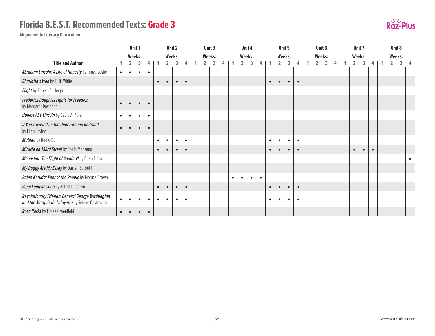

|                                                                                                        |           | Unit 1         |           |           |           |                | Unit 2    |           |                | Unit 3 |   |           |                | Unit 4    |           |           | Unit 5         |           |           |                | Unit 6 |  |                | Unit 7    |           |                | Unit 8 |           |
|--------------------------------------------------------------------------------------------------------|-----------|----------------|-----------|-----------|-----------|----------------|-----------|-----------|----------------|--------|---|-----------|----------------|-----------|-----------|-----------|----------------|-----------|-----------|----------------|--------|--|----------------|-----------|-----------|----------------|--------|-----------|
|                                                                                                        |           |                | Weeks:    |           |           |                | Weeks:    |           |                | Weeks: |   |           |                | Weeks:    |           |           |                | Weeks:    |           |                | Weeks: |  |                | Weeks:    |           | <b>Weeks:</b>  |        |           |
| <b>Title and Author</b>                                                                                |           | $\overline{2}$ | 3         | 4         |           | $\overline{2}$ | 3         | 4         | $\overline{2}$ | 3      | 4 |           | $\overline{2}$ | 3         |           |           | $\overline{2}$ | 3         | 4         | $\overline{2}$ | 3      |  | $\overline{2}$ | 3         | 4         | $\overline{2}$ | 3      |           |
| Abraham Lincoln: A Life of Honesty by Tonya Leslie                                                     | $\bullet$ | $\bullet$      | $\bullet$ | $\bullet$ |           |                |           |           |                |        |   |           |                |           |           |           |                |           |           |                |        |  |                |           |           |                |        |           |
| Charlotte's Web by E. B. White                                                                         |           |                |           |           | $\bullet$ | $\bullet$      | $\bullet$ | $\bullet$ |                |        |   |           |                |           |           | $\bullet$ | $\bullet$      | $\bullet$ | $\bullet$ |                |        |  |                |           |           |                |        |           |
| Flight by Robert Burleigh                                                                              |           |                |           |           |           |                |           |           |                |        |   |           |                |           |           |           |                |           |           |                |        |  |                |           |           |                |        |           |
| <b>Frederick Douglass Fights for Freedom</b><br>by Margaret Davidson                                   | $\bullet$ | $\bullet$      | $\bullet$ | $\bullet$ |           |                |           |           |                |        |   |           |                |           |           |           |                |           |           |                |        |  |                |           |           |                |        |           |
| Honest Abe Lincoln by David A. Adler                                                                   | $\bullet$ | $\bullet$      | $\bullet$ | $\bullet$ |           |                |           |           |                |        |   |           |                |           |           |           |                |           |           |                |        |  |                |           |           |                |        |           |
| If You Traveled on the Underground Railroad<br>by Ellen Levine                                         | $\bullet$ | $\bullet$      | $\bullet$ | $\bullet$ |           |                |           |           |                |        |   |           |                |           |           |           |                |           |           |                |        |  |                |           |           |                |        |           |
| Matilda by Roald Dahl                                                                                  |           |                |           |           | $\bullet$ | $\bullet$      | $\bullet$ | $\bullet$ |                |        |   |           |                |           |           | $\bullet$ | $\bullet$      | $\bullet$ | $\bullet$ |                |        |  |                |           |           |                |        |           |
| Miracle on 133rd Street by Sonia Manzano                                                               |           |                |           |           | $\bullet$ | $\bullet$      | $\bullet$ | $\bullet$ |                |        |   |           |                |           |           | $\bullet$ | $\bullet$      | $\bullet$ |           |                |        |  | $\bullet$      | $\bullet$ | $\bullet$ |                |        |           |
| Moonshot: The Flight of Apollo 11 by Brian Floca                                                       |           |                |           |           |           |                |           |           |                |        |   |           |                |           |           |           |                |           |           |                |        |  |                |           |           |                |        | $\bullet$ |
| My Doggy Ate My Essay by Darren Sardelli                                                               |           |                |           |           |           |                |           |           |                |        |   |           |                |           |           |           |                |           |           |                |        |  |                |           |           |                |        |           |
| Pablo Neruda: Poet of the People by Monica Brown                                                       |           |                |           |           |           |                |           |           |                |        |   | $\bullet$ | $\bullet$      | $\bullet$ | $\bullet$ |           |                |           |           |                |        |  |                |           |           |                |        |           |
| Pippi Longstocking by Astrid Lindgren                                                                  |           |                |           |           | $\bullet$ | $\bullet$      | $\bullet$ | $\bullet$ |                |        |   |           |                |           |           | $\bullet$ | $\bullet$      | $\bullet$ | $\bullet$ |                |        |  |                |           |           |                |        |           |
| Revolutionary Friends: General George Washington<br>and the Marquis de Lafayette by Selene Castrovilla | $\bullet$ | $\bullet$      | $\bullet$ | $\bullet$ | $\bullet$ | $\bullet$      | $\bullet$ | $\bullet$ |                |        |   |           |                |           |           | $\bullet$ | $\bullet$      | $\bullet$ | $\bullet$ |                |        |  |                |           |           |                |        |           |
| Rosa Parks by Eloise Greenfield                                                                        | $\bullet$ | $\bullet$      | $\bullet$ | $\bullet$ |           |                |           |           |                |        |   |           |                |           |           |           |                |           |           |                |        |  |                |           |           |                |        |           |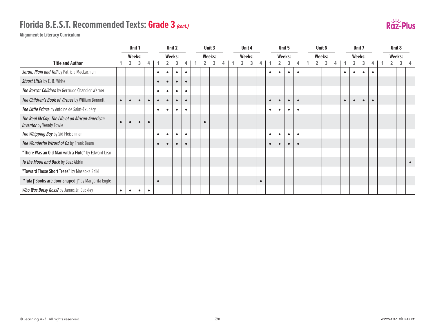# **Florida B.E.S.T. Recommended Texts: Grade 3** *(cont.)*



|                                                                                   |           |           | Unit 1    |           |           |           | Unit 2    |           |           | Unit 3 |   |  | Unit 4 |           |           |           | Unit 5        |           |  | Unit 6 |           |           | Unit 7    |           |  | Unit 8        |           |
|-----------------------------------------------------------------------------------|-----------|-----------|-----------|-----------|-----------|-----------|-----------|-----------|-----------|--------|---|--|--------|-----------|-----------|-----------|---------------|-----------|--|--------|-----------|-----------|-----------|-----------|--|---------------|-----------|
|                                                                                   |           |           | Weeks:    |           |           |           | Weeks:    |           |           | Weeks: |   |  | Weeks: |           |           |           | <b>Weeks:</b> |           |  | Weeks: |           |           | Weeks:    |           |  | <b>Weeks:</b> |           |
| <b>Title and Author</b>                                                           |           |           |           | 4         |           |           |           | 4         |           |        | 4 |  | 3      |           |           |           |               |           |  |        |           |           | 3         |           |  |               |           |
| Sarah, Plain and Tall by Patricia MacLachlan                                      |           |           |           |           | $\bullet$ | $\bullet$ | $\bullet$ | $\bullet$ |           |        |   |  |        |           | $\bullet$ | $\bullet$ | $\bullet$     | $\bullet$ |  |        | ٠         | $\bullet$ | $\bullet$ | $\bullet$ |  |               |           |
| Stuart Little by E. B. White                                                      |           |           |           |           | $\bullet$ | $\bullet$ | $\bullet$ | $\bullet$ |           |        |   |  |        |           |           |           |               |           |  |        |           |           |           |           |  |               |           |
| The Boxcar Children by Gertrude Chandler Warner                                   |           |           |           |           | $\bullet$ | $\bullet$ | $\bullet$ | $\bullet$ |           |        |   |  |        |           |           |           |               |           |  |        |           |           |           |           |  |               |           |
| The Children's Book of Virtues by William Bennett                                 | $\bullet$ | $\bullet$ |           |           | $\bullet$ | $\bullet$ | $\bullet$ | $\bullet$ |           |        |   |  |        |           | $\bullet$ | $\bullet$ | $\bullet$     | $\bullet$ |  |        | $\bullet$ | $\bullet$ | $\bullet$ | $\bullet$ |  |               |           |
| The Little Prince by Antoine de Saint-Exupéry                                     |           |           |           |           | $\bullet$ | $\bullet$ | $\bullet$ | $\bullet$ |           |        |   |  |        |           | $\bullet$ | $\bullet$ | $\bullet$     | $\bullet$ |  |        |           |           |           |           |  |               |           |
| The Real McCoy: The Life of an African-American<br><b>Inventor</b> by Wendy Towle | $\bullet$ |           |           | $\bullet$ |           |           |           |           | $\bullet$ |        |   |  |        |           |           |           |               |           |  |        |           |           |           |           |  |               |           |
| The Whipping Boy by Sid Fleischman                                                |           |           |           |           | $\bullet$ | $\bullet$ | $\bullet$ | $\bullet$ |           |        |   |  |        |           | $\bullet$ | $\bullet$ | $\bullet$     | $\bullet$ |  |        |           |           |           |           |  |               |           |
| The Wonderful Wizard of Oz by Frank Baum                                          |           |           |           |           | $\bullet$ | $\bullet$ | $\bullet$ | $\bullet$ |           |        |   |  |        |           | $\bullet$ | $\bullet$ | $\bullet$     | $\bullet$ |  |        |           |           |           |           |  |               |           |
| "There Was an Old Man with a Flute" by Edward Lear                                |           |           |           |           |           |           |           |           |           |        |   |  |        |           |           |           |               |           |  |        |           |           |           |           |  |               |           |
| To the Moon and Back by Buzz Aldrin                                               |           |           |           |           |           |           |           |           |           |        |   |  |        |           |           |           |               |           |  |        |           |           |           |           |  |               | $\bullet$ |
| "Toward Those Short Trees" by Masaoka Shiki                                       |           |           |           |           |           |           |           |           |           |        |   |  |        |           |           |           |               |           |  |        |           |           |           |           |  |               |           |
| "Tula ['Books are door-shaped']" by Margarita Engle                               |           |           |           |           |           |           |           |           |           |        |   |  |        | $\bullet$ |           |           |               |           |  |        |           |           |           |           |  |               |           |
| Who Was Betsy Ross? by James Jr. Buckley                                          | $\bullet$ | $\bullet$ | $\bullet$ | $\bullet$ |           |           |           |           |           |        |   |  |        |           |           |           |               |           |  |        |           |           |           |           |  |               |           |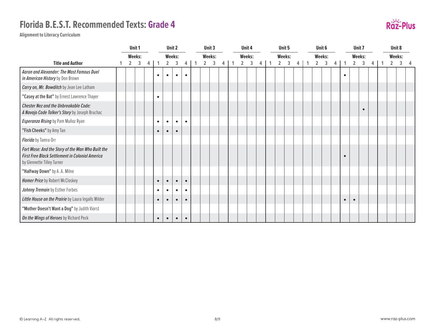

|                                                                                                                                    |                | Unit 1 |   |           |                | Unit 2    |           |                | Unit 3 |   |                         | Unit 4 |  |                | Unit 5 |   | Unit 6         |   |   |           | Unit 7         |           |   | Unit 8         |   |  |
|------------------------------------------------------------------------------------------------------------------------------------|----------------|--------|---|-----------|----------------|-----------|-----------|----------------|--------|---|-------------------------|--------|--|----------------|--------|---|----------------|---|---|-----------|----------------|-----------|---|----------------|---|--|
|                                                                                                                                    |                | Weeks: |   |           |                | Weeks:    |           | Weeks:         |        |   |                         | Weeks: |  | <b>Weeks:</b>  |        |   | Weeks:         |   |   |           | Weeks:         |           |   | <b>Weeks:</b>  |   |  |
| <b>Title and Author</b>                                                                                                            | $\overline{2}$ | 3      | 4 |           | $\overline{2}$ | 3         | 4         | $\overline{2}$ | 3      | 4 | $\overline{\mathbf{2}}$ | 3      |  | $\overline{2}$ | 3      | 4 | $\overline{2}$ | 3 | 4 |           | $\overline{2}$ | 3         | 4 | $\overline{2}$ | 3 |  |
| Aaron and Alexander: The Most Famous Duel<br>in American History by Don Brown                                                      |                |        |   | $\bullet$ | $\bullet$      | $\bullet$ | $\bullet$ |                |        |   |                         |        |  |                |        |   |                |   |   | $\bullet$ |                |           |   |                |   |  |
| Carry on, Mr. Bowditch by Jean Lee Latham                                                                                          |                |        |   |           |                |           |           |                |        |   |                         |        |  |                |        |   |                |   |   |           |                |           |   |                |   |  |
| "Casey at the Bat" by Ernest Lawrence Thayer                                                                                       |                |        |   | $\bullet$ |                |           |           |                |        |   |                         |        |  |                |        |   |                |   |   |           |                |           |   |                |   |  |
| Chester Nez and the Unbreakable Code:<br>A Navajo Code Talker's Story by Joseph Bruchac                                            |                |        |   |           |                |           |           |                |        |   |                         |        |  |                |        |   |                |   |   |           |                | $\bullet$ |   |                |   |  |
| Esperanza Rising by Pam Muñoz Ryan                                                                                                 |                |        |   | $\bullet$ | $\bullet$      | $\bullet$ | $\bullet$ |                |        |   |                         |        |  |                |        |   |                |   |   |           |                |           |   |                |   |  |
| "Fish Cheeks" by Amy Tan                                                                                                           |                |        |   | $\bullet$ | $\bullet$      | $\bullet$ |           |                |        |   |                         |        |  |                |        |   |                |   |   |           |                |           |   |                |   |  |
| Florida by Tamra Orr                                                                                                               |                |        |   |           |                |           |           |                |        |   |                         |        |  |                |        |   |                |   |   |           |                |           |   |                |   |  |
| Fort Mose: And the Story of the Man Who Built the<br>First Free Black Settlement in Colonial America<br>by Glennette Tilley Turner |                |        |   |           |                |           |           |                |        |   |                         |        |  |                |        |   |                |   |   | $\bullet$ |                |           |   |                |   |  |
| "Halfway Down" by A. A. Milne                                                                                                      |                |        |   |           |                |           |           |                |        |   |                         |        |  |                |        |   |                |   |   |           |                |           |   |                |   |  |
| Homer Price by Robert McCloskey                                                                                                    |                |        |   | $\bullet$ | $\bullet$      | $\bullet$ | $\bullet$ |                |        |   |                         |        |  |                |        |   |                |   |   |           |                |           |   |                |   |  |
| Johnny Tremain by Esther Forbes                                                                                                    |                |        |   | $\bullet$ | $\bullet$      | $\bullet$ | $\bullet$ |                |        |   |                         |        |  |                |        |   |                |   |   |           |                |           |   |                |   |  |
| Little House on the Prairie by Laura Ingalls Wilder                                                                                |                |        |   | $\bullet$ | $\bullet$      | $\bullet$ | $\bullet$ |                |        |   |                         |        |  |                |        |   |                |   |   | $\bullet$ |                |           |   |                |   |  |
| "Mother Doesn't Want a Dog" by Judith Viorst                                                                                       |                |        |   |           |                |           |           |                |        |   |                         |        |  |                |        |   |                |   |   |           |                |           |   |                |   |  |
| On the Wings of Heroes by Richard Peck                                                                                             |                |        |   | $\bullet$ | $\bullet$      | $\bullet$ | $\bullet$ |                |        |   |                         |        |  |                |        |   |                |   |   |           |                |           |   |                |   |  |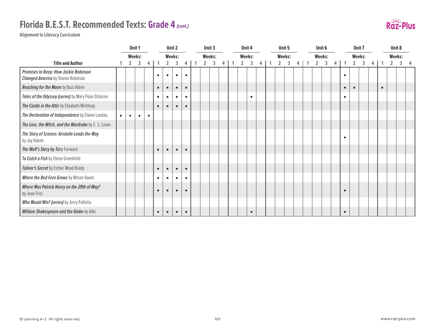# **Florida B.E.S.T. Recommended Texts: Grade 4** *(cont.)*



|                                                                                    |           |                | Unit 1    |           |           |                | Unit 2    |           | Unit 3         |   |   |                | Unit 4    |  | Unit 5         |        |   | Unit 6         |        |   |           |                | Unit 7 |   |           | Unit 8 |   |  |
|------------------------------------------------------------------------------------|-----------|----------------|-----------|-----------|-----------|----------------|-----------|-----------|----------------|---|---|----------------|-----------|--|----------------|--------|---|----------------|--------|---|-----------|----------------|--------|---|-----------|--------|---|--|
|                                                                                    |           |                | Weeks:    |           |           |                | Weeks:    |           | Weeks:         |   |   |                | Weeks:    |  |                | Weeks: |   |                | Weeks: |   |           |                | Weeks: |   |           | Weeks: |   |  |
| <b>Title and Author</b>                                                            |           | $\overline{2}$ | 3         | 4         |           | $\overline{2}$ | 3         | 4         | $\overline{2}$ | 3 | 4 | $\overline{2}$ | 3         |  | $\overline{2}$ | 3      | 4 | $\overline{2}$ | 3      | 4 |           | $\overline{2}$ | 3      | 4 |           | 2      | 3 |  |
| Promises to Keep: How Jackie Robinson<br><b>Changed America</b> by Sharon Robinson |           |                |           |           |           | $\bullet$      | $\bullet$ | $\bullet$ |                |   |   |                |           |  |                |        |   |                |        |   | $\bullet$ |                |        |   |           |        |   |  |
| Reaching for the Moon by Buzz Aldrin                                               |           |                |           |           |           | $\bullet$      | $\bullet$ | $\bullet$ |                |   |   |                |           |  |                |        |   |                |        |   | $\bullet$ | $\bullet$      |        |   | $\bullet$ |        |   |  |
| Tales of the Odyssey (series) by Mary Pope Osborne                                 |           |                |           |           | $\bullet$ | $\bullet$      | $\bullet$ | $\bullet$ |                |   |   |                | $\bullet$ |  |                |        |   |                |        |   | $\bullet$ |                |        |   |           |        |   |  |
| The Castle in the Attic by Elizabeth Winthrop                                      |           |                |           |           |           | $\bullet$      | $\bullet$ | $\bullet$ |                |   |   |                |           |  |                |        |   |                |        |   |           |                |        |   |           |        |   |  |
| The Declaration of Independence by Elaine Landau                                   | $\bullet$ | $\bullet$      | $\bullet$ | $\bullet$ |           |                |           |           |                |   |   |                |           |  |                |        |   |                |        |   |           |                |        |   |           |        |   |  |
| The Lion, the Witch, and the Wardrobe by C. S. Lewis                               |           |                |           |           |           |                |           |           |                |   |   |                |           |  |                |        |   |                |        |   |           |                |        |   |           |        |   |  |
| The Story of Science: Aristotle Leads the Way<br>by Joy Hakim                      |           |                |           |           |           |                |           |           |                |   |   |                |           |  |                |        |   |                |        |   | $\bullet$ |                |        |   |           |        |   |  |
| The Wolf's Story by Toby Forward                                                   |           |                |           |           |           | $\bullet$      | $\bullet$ | $\bullet$ |                |   |   |                |           |  |                |        |   |                |        |   |           |                |        |   |           |        |   |  |
| To Catch a Fish by Eloise Greenfield                                               |           |                |           |           |           |                |           |           |                |   |   |                |           |  |                |        |   |                |        |   |           |                |        |   |           |        |   |  |
| Toliver's Secret by Esther Wood Brady                                              |           |                |           |           |           | $\bullet$      | $\bullet$ | $\bullet$ |                |   |   |                |           |  |                |        |   |                |        |   |           |                |        |   |           |        |   |  |
| Where the Red Fern Grows by Wilson Rawls                                           |           |                |           |           | $\bullet$ | $\bullet$      | $\bullet$ | $\bullet$ |                |   |   |                |           |  |                |        |   |                |        |   |           |                |        |   |           |        |   |  |
| Where Was Patrick Henry on the 29th of May?<br>by Jean Fritz                       |           |                |           |           |           |                | $\bullet$ | $\bullet$ |                |   |   |                |           |  |                |        |   |                |        |   | $\bullet$ |                |        |   |           |        |   |  |
| Who Would Win? (series) by Jerry Pallotta                                          |           |                |           |           |           |                |           |           |                |   |   |                |           |  |                |        |   |                |        |   |           |                |        |   |           |        |   |  |
| William Shakespeare and the Globe by Aliki                                         |           |                |           |           | $\bullet$ | $\bullet$      | $\bullet$ | $\bullet$ |                |   |   |                | $\bullet$ |  |                |        |   |                |        |   | $\bullet$ |                |        |   |           |        |   |  |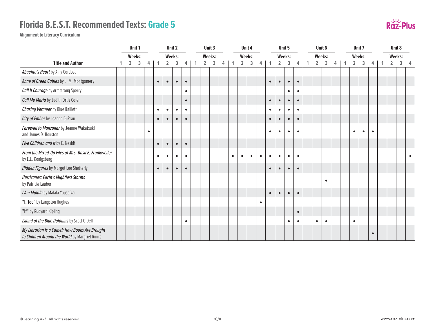

|                                                                                                  |                | Unit 1        |           |              |                | Unit 2        |           |              |                | Unit 3 |   |              |                | Unit 4    |           |              |                | Unit 5    |           |             |                | Unit 6        |   |                | Unit 7    |           |                | Unit 8        |                |
|--------------------------------------------------------------------------------------------------|----------------|---------------|-----------|--------------|----------------|---------------|-----------|--------------|----------------|--------|---|--------------|----------------|-----------|-----------|--------------|----------------|-----------|-----------|-------------|----------------|---------------|---|----------------|-----------|-----------|----------------|---------------|----------------|
|                                                                                                  |                | <b>Weeks:</b> |           |              |                | <b>Weeks:</b> |           |              |                | Weeks: |   |              |                | Weeks:    |           |              |                | Weeks:    |           |             |                | <b>Weeks:</b> |   |                | Weeks:    |           |                | <b>Weeks:</b> |                |
| <b>Title and Author</b>                                                                          | $\overline{2}$ | 3             | 4         | $\mathbf{1}$ | $\overline{2}$ | 3             | 4         | $\mathbf{1}$ | $\overline{2}$ | 3      | 4 | $\mathbf{1}$ | $\overline{2}$ | 3         | 4         | $\mathbf{1}$ | $\overline{2}$ | 3         | 4         | $\mathbf 1$ | $\overline{2}$ | 3             | 4 | $\overline{2}$ | 3         | 4         | $\overline{2}$ | 3             | $\overline{4}$ |
| Abuelita's Heart by Amy Cordova                                                                  |                |               |           |              |                |               |           |              |                |        |   |              |                |           |           |              |                |           |           |             |                |               |   |                |           |           |                |               |                |
| Anne of Green Gables by L. M. Montgomery                                                         |                |               |           | $\bullet$    | $\bullet$      | $\bullet$     | $\bullet$ |              |                |        |   |              |                |           |           | $\bullet$    | $\bullet$      | $\bullet$ | $\bullet$ |             |                |               |   |                |           |           |                |               |                |
| <b>Call It Courage</b> by Armstrong Sperry                                                       |                |               |           |              |                |               | $\bullet$ |              |                |        |   |              |                |           |           |              |                | ٠         |           |             |                |               |   |                |           |           |                |               |                |
| <b>Call Me Maria</b> by Judith Ortiz Cofer                                                       |                |               |           |              |                |               | $\bullet$ |              |                |        |   |              |                |           |           | $\bullet$    | $\bullet$      | $\bullet$ | $\bullet$ |             |                |               |   |                |           |           |                |               |                |
| <b>Chasing Vermeer</b> by Blue Balliett                                                          |                |               |           | $\bullet$    | $\bullet$      | $\bullet$     | $\bullet$ |              |                |        |   |              |                |           |           | $\bullet$    | $\bullet$      | $\bullet$ | $\bullet$ |             |                |               |   |                |           |           |                |               |                |
| City of Ember by Jeanne DuPrau                                                                   |                |               |           | $\bullet$    | $\bullet$      | $\bullet$     | $\bullet$ |              |                |        |   |              |                |           |           | $\bullet$    | $\bullet$      | $\bullet$ | $\bullet$ |             |                |               |   |                |           |           |                |               |                |
| Farewell to Manzanar by Jeanne Wakatsuki<br>and James D. Houston                                 |                |               | $\bullet$ |              |                |               |           |              |                |        |   |              |                |           |           | $\bullet$    | $\bullet$      | $\bullet$ | $\bullet$ |             |                |               |   | $\bullet$      | $\bullet$ | $\bullet$ |                |               |                |
| Five Children and It by E. Nesbit                                                                |                |               |           | $\bullet$    | $\bullet$      | $\bullet$     | $\bullet$ |              |                |        |   |              |                |           |           |              |                |           |           |             |                |               |   |                |           |           |                |               |                |
| From the Mixed-Up Files of Mrs. Basil E. Frankweiler<br>by E.L. Konigsburg                       |                |               |           | $\bullet$    | $\bullet$      | $\bullet$     | $\bullet$ |              |                |        |   | $\bullet$    | $\bullet$      | $\bullet$ | $\bullet$ | $\bullet$    | $\bullet$      | $\bullet$ | $\bullet$ |             |                |               |   |                |           |           |                |               | $\bullet$      |
| <b>Hidden Figures</b> by Margot Lee Shetterly                                                    |                |               |           | $\bullet$    | $\bullet$      | $\bullet$     | $\bullet$ |              |                |        |   |              |                |           |           | $\bullet$    | $\bullet$      | $\bullet$ | $\bullet$ |             |                |               |   |                |           |           |                |               |                |
| <b>Hurricanes: Earth's Mightiest Storms</b><br>by Patricia Lauber                                |                |               |           |              |                |               |           |              |                |        |   |              |                |           |           |              |                |           |           |             |                | $\bullet$     |   |                |           |           |                |               |                |
| I Am Malala by Malala Yousafzai                                                                  |                |               |           |              |                |               |           |              |                |        |   |              |                |           |           | $\bullet$    | $\bullet$      | $\bullet$ | $\bullet$ |             |                |               |   |                |           |           |                |               |                |
| "I, Too" by Langston Hughes                                                                      |                |               |           |              |                |               |           |              |                |        |   |              |                |           | $\bullet$ |              |                |           |           |             |                |               |   |                |           |           |                |               |                |
| "If" by Rudyard Kipling                                                                          |                |               |           |              |                |               |           |              |                |        |   |              |                |           |           |              |                |           | $\bullet$ |             |                |               |   |                |           |           |                |               |                |
| Island of the Blue Dolphins by Scott O'Dell                                                      |                |               |           |              |                |               | $\bullet$ |              |                |        |   |              |                |           |           |              |                | $\bullet$ | $\bullet$ |             | $\bullet$      | $\bullet$     |   | $\bullet$      |           |           |                |               |                |
| My Librarian Is a Camel: How Books Are Brought<br>to Children Around the World by Margriet Ruurs |                |               |           |              |                |               |           |              |                |        |   |              |                |           |           |              |                |           |           |             |                |               |   |                |           | $\bullet$ |                |               |                |